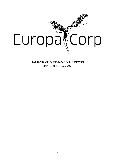

**HALF-YEARLY FINANCIAL REPORT SEPTEMBER 30, 2021**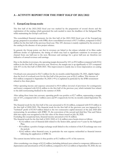# **A - ACTIVITY REPORT FOR THE FIRST HALF OF 2021/2022**

## **1. EuropaCorp Group results**

The first half of the 2021/2022 fiscal year was marked by the preparation of several shoots and the exploitation of the catalog, which generated the cash needed to meet the deadlines of the Safeguard Plan while maintaining the Group's cash level.

The consolidated financial statements for the first half of the 2021/2022 fiscal year of the EuropaCorp group, prepared in accordance with IFRS, show consolidated revenues of €17.3 million, compared to €26.2 million for the first half of the previous fiscal year. This 34% decrease is mainly explained by the erosion of the catalog in the absence of new project releases.

In general, the Group points out that its revenues are linked to the release schedule of its films under different modes of exploitation, the timing of which may lead to significant variations in revenues per channel from one half-year to the next. Revenues and earnings for a given half-year are therefore not indicative of annual revenues and earnings.

Due to the decline in revenues, the operating margin decreased by 16% to  $\epsilon$ 9.0 million compared with  $\epsilon$ 10.6 million in the first half of the previous year. However, the margin rate is up significantly to 52% compared with 41% in the first half of  $2020/2021$ . This improvement is mainly due to lower depreciation on catalog films.

Overhead costs amounted to  $\epsilon$ (6.7) million for the six months ended September 30, 2021, slightly higher than the level of overhead costs for the first half of the previous year at  $\epsilon$ (6.1) million. This increase of €0.6 million compared to September 30, 2020 (+9%) is explained in particular by the IFRS restatement related to free share plans.

Other operating income and expenses amounted to  $\epsilon$ 0.4 million (reversal of provisions for contingencies and losses) compared with  $E(2.4)$  million in the first half of the previous year, which included fees related to the debt restructuring finalized in the summer of 2020.

After taking these items into account, operating profit was positive at  $\epsilon$ 2.7 million, representing a margin rate of 16%, compared with 2.1 million euros and 8% respectively for the six months ended September 30, 2020.

The financial result for the first half of the year amounted to  $\epsilon$ (1.4) million, compared with  $\epsilon$ 133 million in the first half of 2020/2021. The financial result for the first half of the previous year was impacted by a "technical" profit of €134.9 million linked to the two consecutive capital increases of the July 2020 debt restructuring. In accordance with IFRIC 19, the conversion of the second and third lien Vine and Falcon debt into equity was recognized at the fair value of the shares issued on July 28, 2020. Excluding this exceptional item, financial income amounted to  $\epsilon$ (1.9) million.

The financial result for the first half of 2021/2022 of (1.4) million euros breaks down as follows

- $\epsilon$ (1.4) million: cost of financial debt related to the Senior debt, spread over 9 years by the Safeguard Plan;
- $\epsilon$ 0.4 million: a positive foreign exchange result linked to the evolution of the  $\epsilon$ /\$ exchange rate over the period;
- $\epsilon$ (0.4) million: other financial costs, in particular the rent expense reclassified as financial interest following the application of IFRS 16.

The current income before taxes is thus positive at  $\epsilon$ 1.3 million or 8% of the turnover.

After considering a tax charge of  $\epsilon$ (3.2) million (including deferred taxes related to temporary differences in depreciation and amortization of  $\epsilon(2.4)$  million), compared to  $\epsilon(11.2)$  million at September 30, 2020, the net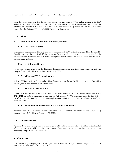result for the first half of the year, Group share, showed a loss of  $\mathcal{E}(1.9)$  million.

Cash flow from operations for the first half of the year amounted to  $\epsilon$ 10.5 million compared to  $\epsilon$ (3.9) million for the first half of the previous year. This  $\epsilon$ 14.4 million increase is mainly due to the end of the financial restructuring that had burdened cash flow last year with the payment of significant fees upon approval of the Safeguard Plan in July 2020 (lawyers, advisors, etc.).

### **2. Activities**

#### **2.1 Production and distribution of motion pictures**

#### **2.1.1 International Sales**

International sales amounted to €5.8 million, or approximately 33% of total revenues. They decreased by €4 million compared to the first half of the previous fiscal year, which included pre-financing related to the last deliveries on *Kursk* and *Braqueurs d'élite.* During the first half of the year, they included royalties on the films *Lucy* and *Taken 3*.

#### **2.1.2 Distribution Rooms**

No revenues were generated by the Theatrical distribution, as no releases took place during the half-year, compared with €0.2 million in the first half of 2020/2021.

## **2.1.3 Video and VOD broadcasting**

Video & VOD activities in France and the United States amounted to €0.7 million, compared to €0.4 million last year, and mainly concerned VOD in France.

#### **2.1.4 Sales of television rights**

Television & SVOD sales in France and the United States amounted to €10.0 million in the first half of 2021/2022, or 58% of revenues, a decrease of (1.2) million (-11%) compared with the first half of 2020/2021. They include the opening of new rights windows in France, notably for *Valerian and the City of a Thousand Planets.*

#### **2.1.5 Production and distribution of TV movies and series**

Revenues from the TV Series business amounted to  $\epsilon$ (0.3) million (statements on the *Taken* series), compared with €3.3 million at September 30, 2020.

## **2.2 Other activities**

Revenues from other Group activities amounted to  $\epsilon$ 1.2 million compared to  $\epsilon$ 1.3 million in the first half of the previous year. This item includes revenues from partnership and licensing agreements, music publishing and post-production activities.

## **3. Cost of sales**

Cost of sales" (operating expenses excluding overheads) amounted to  $\epsilon$ (8.3) million, compared with  $\epsilon$ (15.5) million for the first half of FY 2020/2021.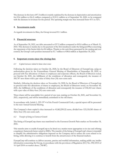The decrease in this item of  $\epsilon$ 7.2 million is mainly explained by the decrease in depreciation and amortization for  $\epsilon$ 3.6 million to  $\epsilon$ (6.5) million compared to  $\epsilon$ (10.1) million as of September 30, 2020, to be compared with the decrease in revenues for the period. The operating margin rate thus increased from 41% to 52%.

## **4. Investments made**

As regards investments in films, the Group invested  $E1.1$  million.

## **5. Financial structure**

As of September 30, 2021, net debt amounted to €37.2 million compared to €43.6 million as of March 31, 2021. This decrease is mainly due to the payment of the first instalment under the Safeguard Plan concerning the repayment of the Senior debt for €6 million. Thanks to the cash flows generated by the catalog and cost control, the Group's cash position increased by  $\epsilon$ 1.7 million to  $\epsilon$ 48.6 million at September 30, 2021.

## **6. Important events since the closing date**

#### *6.1 Capital increases related to bonus share issues*

Following the decision taken on October 26, 2020, by the Board of Directors of EuropaCorp, using an authorization given by the Extraordinary General Meeting of Shareholders of September 28, 2020, to proceed with free allocations of shares to employees and corporate officers, the Board of Directors noted, on October 26, 2021, the fulfillment of the conditions of allocation and consequently the issuance of 585,787 new shares with a par value of thirty-four (34) euro cents each.

Similarly, following the decision taken on November 16, 2020, by the Board of Directors of EuropaCorp to proceed with free allocations of shares to employees, the Board of Directors noted, on November 30, 2021, the fulfillment of the conditions of allocation and consequently the issuance of 436,365 new shares with a par value of thirty-four (34) euro cents each.

These shares will be unavailable for a period of one year, starting on October 26, 2021, and November 16, 2021, respectively, and will be immediately assimilated to the old shares.

In accordance with Article L. 225-197-4 of the French Commercial Code, a special report will be presented to the next Annual General Meeting.

The Company's share capital is thus increased to 41,862,290.22 euros, divided into 123,124,383 shares of thirty-four (34) euro cents each.

## *6.2 Transfer of listing on Euronext Growth*

The listing of EuropaCorp shares was transferred to the Euronext Growth Paris market on November 18, 2021.

This transfer aims to enable EuropaCorp to be listed on a market more appropriate to its size and offering a regulatory framework better suited to SMEs. The transfer of the listing of EuropaCorp's shares is intended to simplify the administrative obligations imposed on the Company and to reduce the costs related to its listing, while allowing it to continue to benefit from the attractiveness of the financial markets.

EuropaCorp will continue to deliver accurate, precise and truthful information, making public any insider information concerning the Group, in accordance with the provisions of Regulation (EU) No. 596/2014 of 16 April 2014 on market abuse ("MAR").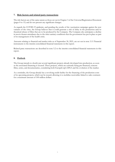## **7. Risk factors and related party transactions**

The risk factors are of the same nature as those set out in Chapter 3 of the Universal Registration Document (pages 8 to 15) and do not present any significant changes.

As regards the COVID-19 epidemic, and pending the results of the vaccination campaign against the new variants of the virus, the Group believes that it could generate a risk of delay in the production and/or theatrical release of films that are to be produced by the Company. The Company also anticipates a decline in movie theater attendance due to the strict sanitary conditions that the government has put in place as part of its management of the health crisis.

Amounts relating to financial and market risks as of September 30, 2021, are set out in note 3.11 Financial instruments to the interim consolidated financial statements in this report.

Related party transactions are described in note 5.2 to the interim consolidated financial statements in this report.

## **8. Outlook**

The Group intends to shortly put several significant projects already developed into production, as soon as the associated financing is secured. These projects, which are currently being pre-financed, concern films, series, and documentaries, considering both EuropaCorp's DNA and the evolution of the market.

As a reminder, the Group already has a revolving credit facility for the financing of the production costs of its upcoming projects, which can be reused, allowing it to mobilize receivables linked to sales contracts for a maximum amount of 100 million dollars.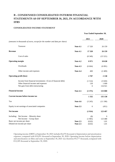# **B - CONDENSED CONSOLIDATED INTERIM FINANCIAL STATEMENTS AS OF SEPTEMBER 30, 2021, IN ACCORDANCE WITH IFRS**

#### **CONSOLIDATED INCOME STATEMENT**

|                                                                           |                 | Year Ended September 30, |                    |
|---------------------------------------------------------------------------|-----------------|--------------------------|--------------------|
|                                                                           |                 | 2021                     | 2020               |
| (amounts in thousands of euros, except for the number and data per share) |                 |                          |                    |
| Turnover                                                                  | <b>Note 4.1</b> | 17 320                   | 26 159             |
| Revenue                                                                   | <b>Note 4.1</b> | 17 320                   | 26 159             |
| Cost of sales                                                             |                 | (8349)                   | (15521)            |
| <b>Operating margin</b>                                                   | <b>Note 4.2</b> | 8971                     | 10 638             |
| Overheads                                                                 | <b>Note 4.3</b> | (6664)                   | (6091)             |
| Other income and expenses                                                 | <b>Note 4.4</b> | 400                      | (2409)             |
| <b>Operating profit (loss)</b>                                            |                 | 2707                     | 2 1 3 8            |
| Income from financial investments / (Cost of financial debt)              |                 | (1514)                   | (3 020)            |
| Other financial income and expenses<br>Net gain from debt restructuring   |                 | 139<br>$\boldsymbol{0}$  | 1 0 9 9<br>134 921 |
| <b>Financial income</b>                                                   | <b>Note 4.5</b> | (1375)                   | 133 000            |
| Current income before income tax                                          |                 | 1332                     | 135 138            |
| Tax                                                                       | <b>Note 4.6</b> | (3245)                   | (11190)            |
| Equity in net earnings of associated companies                            | <b>Note 3.5</b> | $\boldsymbol{0}$         | (451)              |
| Net income                                                                |                 | (1914)                   | 123 497            |
| Including: Net Income - Minority share                                    |                 | (8)                      | 9                  |
| Net Income - Group share                                                  |                 | (1905)                   | 123 488            |
| Basic net income per share                                                | <b>Note 2.5</b> | (0,02)                   | 1,01               |
| Diluted net income per share                                              | <b>Note 2.5</b> | (0,02)                   | 1,01               |

Operating income (EBIT) at September 30, 2021 includes €6,470 thousand of depreciation and amortization expenses, compared with €10,051 thousand at September 30, 2020. Operating income before depreciation and amortization on films and series at September 30, 2021 was therefore €9,177 thousand, compared with €12,189 thousand at September 30, 2020.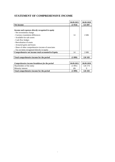# **STATEMENT OF COMPREHENSIVE INCOME**

|                                                     | 30.09.2021 | 30.09.2020 |
|-----------------------------------------------------|------------|------------|
| Net income                                          | (1914)     | 123 497    |
|                                                     |            |            |
| Income and expenses directly recognized in equity   |            |            |
| - Net investments change                            |            |            |
| - Currency translation differences                  | 14         | 2686       |
| - Available-for-sale assets                         |            |            |
| - Cash flow hedges                                  |            |            |
| - Reevaluation of assets                            |            |            |
| - Actuarial gains and losses                        |            |            |
| - Share of other comprehensive income of associates |            |            |
| - Tax on items recognized directly in equity        |            |            |
| Comprehensive net income total accounted in Equity  | 14         | 2686       |
|                                                     |            |            |
| Total comprehensive income for the period           | (1899)     | 126 183    |
|                                                     |            |            |
| Comprehensive income breakdown for the period       | 30.09.2021 | 30.09.2020 |
| Shareholders of the entity                          | (1891)     | 126 174    |
| Minority interest                                   | (8)        | 9          |

**Total comprehensive income for the period (1 899) 126 183**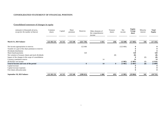## **CONSOLIDATED STATEMENT OF FINANCIAL POSITION**

# **Consolidated statement of changes in equity**

| (amounts in thousands of euros,<br>except for the number of shares) | Common<br>shares | Capital | Share<br>premium | Reserves     | Other elements of<br>the comprehensive<br>income | Treasury<br>shares | Net<br>income | <b>Equity</b><br>Group<br>share | Minority<br>interest | <b>Total</b><br><b>Equity</b> |
|---------------------------------------------------------------------|------------------|---------|------------------|--------------|--------------------------------------------------|--------------------|---------------|---------------------------------|----------------------|-------------------------------|
| March 31, 2021 balance                                              | 122 102 231      | 41 515  | 135 540          | (321 739)    | 4 4 5 1                                          | (58)               | 122 606       | (17685)                         | 350                  | (17335)                       |
| Net income appropriation in reserves                                |                  |         |                  | 122 606      |                                                  |                    | (122606)      | $\mathbf{0}$                    |                      |                               |
| Transfer of a part of the share premium in reserves                 |                  |         |                  |              |                                                  |                    |               |                                 |                      |                               |
| Dividends distribution                                              |                  |         |                  |              |                                                  |                    |               |                                 |                      |                               |
| Share-based payments                                                |                  |         |                  | 520          |                                                  |                    |               | 520                             |                      | 520                           |
| Net variation of treasury shares and stock dividends                |                  |         |                  |              |                                                  | (8)                |               | (8)                             |                      | (8)                           |
| Impact of the changes in the scope of consolidation                 |                  |         |                  |              |                                                  |                    |               |                                 | (0)                  | (0)                           |
| Currency translation reserve                                        |                  |         |                  |              | 14                                               |                    |               | 14                              |                      | 14                            |
| 09/30/2021 net income                                               |                  |         |                  |              |                                                  |                    | (1905)        | (1905)                          | (8)                  | (1914)                        |
| Total of income and costs of the period                             |                  |         |                  | $\mathbf{0}$ | 14                                               | $\bf{0}$           | (1905)        | (1891)                          | (8)                  | (1899)                        |
| Capital increase                                                    |                  |         |                  |              |                                                  |                    |               |                                 |                      |                               |
| Capital increase expenses                                           |                  |         |                  |              |                                                  |                    |               |                                 |                      |                               |
| Free shares allocation plan                                         |                  |         |                  |              |                                                  |                    |               |                                 |                      | $\mathbf{0}$                  |
| September 30, 2021 balance                                          | 122 102 231      | 41 515  | 135 540          | (198613)     | 4 4 6 6                                          | (65)               | (1905)        | (19064)                         | 342                  | (18722)                       |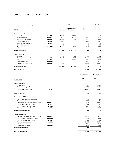#### **CONSOLIDATED BALANCE SHEET**

| (amounts in thousands of euros)           |                  |              | 30-Sep-21                            |                | 31-Mar-21        |
|-------------------------------------------|------------------|--------------|--------------------------------------|----------------|------------------|
| <b>ASSETS</b>                             |                  | <b>Gross</b> | Amortisations /<br><b>Provisions</b> | <b>Net</b>     | <b>Net</b>       |
| Non-current assets :                      |                  |              |                                      |                |                  |
| Goodwill                                  | <b>Note 3.1</b>  | 17037        | (17037)                              | $\overline{0}$ | $\boldsymbol{0}$ |
| Intangible assets                         | <b>Note 3.2</b>  | 1 520 425    | (1486181)                            | 34 24 3        | 39 685           |
| Property and Equipment                    | <b>Note 3.3</b>  | 14 607       | (11335)                              | 3 2 7 2        | 3 4 4 5          |
| Other financial assets                    | <b>Note 3.4</b>  | 8989         | $\boldsymbol{0}$                     | 8989           | 8961             |
| Investments in associates                 | <b>Note 3.5</b>  | $\mathbf{0}$ | $\boldsymbol{0}$                     | $\mathbf{0}$   | $\mathbf{0}$     |
| Deferred taxes assets                     |                  | 75           | $\mathbf{0}$                         | 75             | 502              |
| Right-of-use leased assets                | <b>Note 3.10</b> | 16 100       | (9575)                               | 6525           | 7830             |
| <b>Total non-current assets</b>           |                  | 1577232      | (1524129)                            | 53 104         | 60 423           |
| <b>Current assets:</b>                    |                  |              |                                      |                |                  |
| Inventory                                 |                  | 500          | (277)                                | 223            | 192              |
| Trade accounts receivable                 | <b>Note 3.6</b>  | 26 5 83      | (6552)                               | 20 031         | 22 9 49          |
| Other accounts receivable                 | <b>Note 3.7</b>  | 23 238       | (16460)                              | 6778           | 7558             |
| Other current assets                      | <b>Note 3.13</b> | 2 2 1 2      | $\boldsymbol{0}$                     | 2 2 1 2        | 2691             |
| Cash and cash equivalents                 | <b>Note 3.12</b> | 48 5 95      | $\boldsymbol{0}$                     | 48 595         | 46 952           |
| <b>Total current assets</b>               |                  | 101 128      | (23 288)                             | 77840          | 80 343           |
| <b>TOTAL ASSETS</b>                       |                  |              |                                      | 130 943        | 140765           |
|                                           |                  |              |                                      | 30 September   | 31 March         |
|                                           |                  |              |                                      |                |                  |
| <b>LIABILITIES</b>                        |                  |              |                                      | 2021           | 2021             |
| <b>Equity - Group share</b>               |                  |              |                                      |                |                  |
| Issued capital                            |                  |              |                                      | 41 515         | 41 515           |
| Retained earnings and reserves            |                  |              |                                      | (60578)        | (59199)          |
| Total equity - Group share                | <b>Note 3.8</b>  |              |                                      | (19063)        | (17684)          |
| <b>Minority interests</b>                 |                  |              |                                      | 342            | 350              |
| Non-current liabilities:                  |                  |              |                                      |                |                  |
| Provisions for pensions and similar       |                  |              |                                      | 435            | 411              |
| Deferred taxes liabilities                |                  |              |                                      | 2735           | 334              |
| Long term borrowings and financial debts  | <b>Note 3.9</b>  |              |                                      | 73 158         | 83 862           |
| Deposits and guarantees received          | <b>Note 3.9</b>  |              |                                      | 514            | 613              |
| Lease liability - long term $($ > 1 year) | <b>Note 3.10</b> |              |                                      | 6 3 4 5        | 7819             |
| Other non-current liabilities             | <b>Note 3.13</b> |              |                                      | 5 0 9 4        | 4987             |
| <b>Total non-current liabilities</b>      |                  |              |                                      | 88 28 1        | 98 025           |
| <b>Current liabilities:</b>               |                  |              |                                      |                |                  |
| Short term borrowings and financial debts | <b>Note 3.9</b>  |              |                                      | 12 169         | 6 102            |
| Lease liability - short term $(< 1$ year) | <b>Note 3.10</b> |              |                                      | 3 2 0 6        | 2628             |
| Provisions for risks and expenses         | <b>Note 3.11</b> |              |                                      | 637            | 684              |
| Trade accounts payable                    | <b>Note 3.12</b> |              |                                      | 29 700         | 30 614           |
| Other financial liabilities               |                  |              |                                      | 9 3 6 8        | 9588             |
| Other current liabilities                 | <b>Note 3.13</b> |              |                                      | 6 3 0 3        | 10458            |
| <b>Total current liabilities</b>          |                  |              |                                      | 61 383         | 60 074           |
| <b>TOTAL LIABILITIES</b>                  |                  |              |                                      | 130 943        | 140 765          |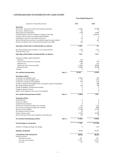# **CONSOLIDATED STATEMENTS OF CASH FLOWS**

#### **Year Ended March 31,**

| (amounts in thousands of euros)                                           |                 | 2021             | 2020             |
|---------------------------------------------------------------------------|-----------------|------------------|------------------|
| <b>Operations</b>                                                         |                 |                  |                  |
| Net income - Group share without discontinued operations                  |                 | (1905)           | 123 488          |
| Net income - Minority share                                               |                 | (8)              | 9                |
| Depreciation and amortization                                             |                 | 7599             | 10 9 87          |
| Unrealised gains and losses relating to changes in fair value             |                 | $\mathbf{0}$     | (134921)         |
| Change in the fair value of securities-related liabilities                |                 | $\mathbf{0}$     | $\boldsymbol{0}$ |
| Capital gains or losses on the disposal of assets                         |                 | (3)              | 77               |
| Share of income from associates consolidated using the equity method      |                 | $\overline{0}$   | 451              |
| Income and expenses due to share-based payments and similar               |                 | 520              | $\boldsymbol{0}$ |
|                                                                           |                 |                  |                  |
| Operating cash flow after net financial debt cost and taxes               |                 | 6 20 2           | 92               |
| (Income from financial investments) / Cost of financial debt              |                 | 1436             | 5 1 5 5          |
| Taxes (Income) / Cost                                                     |                 | $\Omega$         | $\Omega$         |
| Operating cash flow before net financial debt cost and taxes              |                 | 7638             | 5 2 4 7          |
| Change in working capital requirement :                                   |                 |                  |                  |
| Inventory                                                                 |                 | (31)             | 1                |
| Trade accounts and notes receivable                                       |                 | 6484             | 7 1 5 3          |
| Deferred costs                                                            |                 | 344              | (73)             |
| Trade notes and accounts payable                                          |                 | (1050)           | (8083)           |
| Deferred income                                                           |                 | (2883)           | (8188)           |
| Tax paid                                                                  |                 | $\mathbf{0}$     | $\bf{0}$         |
| Net cash flow from operations                                             | <b>Note 5.1</b> | 10 503           | (3943)           |
| <b>Investment activities</b>                                              |                 |                  |                  |
| Acquisition of intangible assets                                          |                 | (1051)           | (52)             |
| Acquisition of other intangible assets                                    |                 | (0)              | (172)            |
| Acquisition of property and equipment                                     |                 | (27)             | (55)             |
| Income on disposal of intangible assets and property, plant and equipment |                 | 3                | 1500             |
| Net change in financial assets                                            |                 | (19)             | 280              |
| Change in liabilities on long-term investment                             |                 | $\mathbf{0}$     | $\boldsymbol{0}$ |
| Change in minority reserves                                               |                 | $\mathbf{0}$     | $\boldsymbol{0}$ |
| Impact of the changes in the scope of consolidation                       |                 | $\Omega$         | $\overline{0}$   |
| Net cash flow from investment activities                                  | <b>Note 5.1</b> | (1094)           | 1501             |
|                                                                           |                 |                  |                  |
| <b>Financing activities</b>                                               |                 |                  |                  |
| Dividends paid                                                            |                 | $\boldsymbol{0}$ | $\boldsymbol{0}$ |
| Increase in capital                                                       |                 | $\boldsymbol{0}$ | $\boldsymbol{0}$ |
| Capital increase expenses                                                 |                 | $\mathbf{0}$     | $\boldsymbol{0}$ |
| Net increase in bank borrowings and overdrafts                            |                 | 332              | 1432             |
| Net decrease in bank borrowings and overdrafts                            |                 | (5739)           | (998)            |
| Decrease in lease liability<br>Net change in treasury shares              |                 | (1258)<br>58     | (5570)<br>12     |
| Interest expenses paid                                                    |                 | (1550)           | (4590)           |
| Interest income received and net gain/loss from disposals                 |                 | 476              | 28               |
| Net cash flow from financing activities                                   | <b>Note 5.1</b> | (7681)           | (9685)           |
|                                                                           |                 |                  |                  |
| Overall change in cash position                                           |                 | 1728             | (12126)          |
| Incidence of foreign exchange rate change                                 |                 | 9                | 2 1 5 4          |
| <b>Opening cash position</b>                                              |                 | 46858            | 50 246           |
| Cash position at the end of period                                        |                 | 48 595           | 40 274           |
| broken down into:                                                         |                 |                  |                  |
| Marketable securities                                                     |                 | 658              | 678              |
| Cash and cash equivalents                                                 |                 | 47938            | 40 028           |
| Overdraft                                                                 |                 | (0)              | (432)            |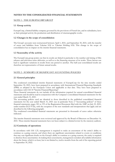## **NOTES TO THE CONSOLIDATED FINANCIAL STATEMENTS**

## NOTE 1 - THE EUROPACORP GROUP

## **1.1 Group activity**

EuropaCorp, a limited liability company governed by the provisions of French law, and its subsidiaries, have as their principal activity the production and distribution of cinematographic works.

#### **1.2 Changes in the scope of consolidation**

The Group's accounts were restructured between April 1, 2021, and September 30, 2021, with the transfer of assets and liabilities from Valerian SAS to Valerian Holding SAS. This change in the scope of consolidation has no impact on the interim financial statements.

#### **1.3 Seasonality of the activity**

The EuropaCorp group points out that its results are linked in particular to the number and timing of film releases and television series deliveries, as well as to the financing structure of its works. These factors can lead to significant variations in results from one period to another. The half-year consolidated results are therefore not representative of future annual results.

#### NOTE 2 - SUMMARY OF SIGNIFICANT ACCOUNTING POLICIES

#### **2.1 General principles**

The condensed consolidated interim financial statements of EuropaCorp for the nine months ended September 30, 2021, have been prepared in accordance with International Financial Reporting Standards (IFRS) as adopted in the European Union and applicable at that date. They have been prepared in accordance with IAS 34 "Interim Financial Reporting".

These financial statements do not include all the information required for annual consolidated financial statements and should be read in conjunction with the Company's consolidated financial statements for the year ended March 31, 2021.

The accounting policies used are identical to those described in the published consolidated financial statements for the year ended March 31, 2021 (see in particular Note 2 "Accounting policies" of these financial statements, pages 181 to 193 of the Registration Document filed with the AMF on July 23, 2021, under number D.21-0726), with the exception of the new standards and interpretations that apply and are described in the following paragraph.

The condensed consolidated financial statements are presented in thousands of euros unless otherwise indicated.

The interim financial statements were reviewed and approved by the Board of Directors on December 14, 2021. These interim financial statements have not been subject to a limited review by the statutory auditors.

## **2.2 Continuity of operations**

In accordance with IAS 1.25, management is required to make an assessment of the entity's ability to continue as a going concern, and where there are significant uncertainties related to events or conditions that may cast significant doubt on the Group's ability to continue as a going concern, the entity is required to disclose those uncertainties. In making these assessments, management considers all available information about the future, which is at least, but is not limited to, twelve months from the end of the reporting period to September 30, 2022.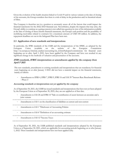Given the evolution of the health situation linked to Covid-19 and its various variants at the date of closing of the accounts, the Group considers that there is a risk of delay in the production and/or theatrical release of films.

The Company is therefore not in a position to accurately assess all of the factors that could impact the financial statements for the 2022/2023 financial year. Nevertheless, despite the impacts that may arise, the Group's ability to continue as a going concern is not called into question in view of the information available at the date of closing of these interim financial statements, the Group's cash position and the possibility of mobilizing receivables related to contracts for a maximum amount of USD 100 million. In addition, the repayment deadlines set out in the Safeguard Plan have been met.

## **2.3 Application of new standards and interpretations**

In particular, the IFRS standards of the IASB and the interpretations of the IFRIC, as adopted by the European Union (available on the website of the European Commission http://ec.europa.eu/internal\_market/accounting/ias\_fr.htm#adopted-commission) for financial years beginning on or after April 1, 2021, have been applied by the Company and have not resulted in any significant change in the methods of valuation and presentation of the accounts.

## **IFRS standards, IFRIC interpretations or amendments applied by the company from April 1 er 2021**

The new standards, amendments to existing standards and interpretations that are mandatory for financial years beginning on or after January 1er2021 did not have a material impact on the financial statements, mainly as follows

Amendments to IFRS 4, IFRS 7, IFRS 9, IFRS 16 and IAS 39 "Interest Rate Benchmark Reform - Phase 2

#### **Accounting standards or interpretations not yet applied by the company**

As of September 30, 2021, the IASB has issued standards and interpretations that have not yet been adopted by the European Union as of September 30, 2021; they are not applied as of that date.

Amendments to IAS 28 and IFRS 10 "Sale or contribution of assets between an associate and a joint venture

- Amendments to IAS 1 on the classification of liabilities as current and non-current
- Amendments to IAS 1 "Disclosure of Accounting Policies
- Amendments to IAS 8 "Definition of an accounting estimate
- Amendments to IAS 12 "Income Taxes

.......................

As of September 30, 2021, the IASB published standards and interpretations adopted by the European Union as of September 30, 2021, which are applicable for accounting periods beginning on or after January 1, 2022. These standards and interpretations have not been applied early.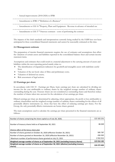- Annual improvements (2018-2020) to IFRS
- Amendments to IFRS 3 "Definition of a Business"
- - Amendments to IAS 16 "Property, Plant and Equipment - Revenue in advance of intended use

- Amendments to IAS 37 "Onerous contracts - costs of performing the contract

The impacts of the draft standards and interpretations currently being studied by the IASB have not been anticipated in these consolidated financial statements and cannot be reasonably estimated at this time.

#### **2.4 Management estimate**

The preparation of interim financial statements requires the use of estimates and assumptions that affect the valuation of certain assets and liabilities reported in the consolidated balance sheet and certain income statement items.

Assumptions and estimates that could result in a material adjustment to the carrying amount of assets and liabilities within the next reporting period mainly relate to:

- The identification of impairment indicators for goodwill and intangible assets with indefinite useful lives;
- Valuation of the net book value of films and preliminary costs;
- Valuation of deferred tax assets;
- Risk assessment of legal actions.

#### **2.5 Earnings per share**

In accordance with IAS 33 - Earnings per Share, basic earnings per share are calculated by dividing net income for the year attributable to ordinary shares by the weighted average number of ordinary shares outstanding during the year. Treasury shares are not considered as outstanding shares and therefore reduce the number of shares taken into account for the calculation of net earnings per share.

Diluted earnings per share are determined by adjusting, where appropriate, the profit or loss attributable to ordinary shareholders and the weighted average number of ordinary shares outstanding for the effects of all potentially dilutive instruments (i.e. those that have the effect of reducing earnings per share). For the Group, the only potentially dilutive instruments are bonus shares granted.

The main assumptions used to calculate the earnings per share presented in the financial statements are as follows:

| Number of shares comprising the share capital as of July 28, 2020,                                   | 122 102 231   |
|------------------------------------------------------------------------------------------------------|---------------|
| Number of treasury shares held as of September 30, 2021                                              | 86049         |
| Dilutive effect of the bonus share plan                                                              |               |
| Number of shares granted on October 26, 2020 (effective October 26, 2021)                            | 585 787       |
| Number of shares granted on November 16, 2020 (effective November 16, 2021)                          | 436 365       |
| Maximum number of performance shares granted on July 15, 2021                                        | 2 9 3 2 9 1 5 |
| Weighted average number of shares as of September 30, 2021 (excluding treasury shares)               | 122 016 182   |
| Weighted average number of shares as of September 30, 2021 (dilutive) (excluding treasury<br>shares) | 124 272 402   |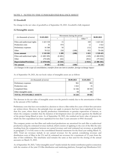## NOTE 3 - NOTES TO THE CONSOLIDATED BALANCE SHEET

## **3.1 Goodwill**

No change in the net value of goodwill as of September 30, 2021. Goodwill is fully impaired.

### **3.2 Intangible assets**

|                                  | 31.03.2021    |         | Movements during the period |             |            |  |
|----------------------------------|---------------|---------|-----------------------------|-------------|------------|--|
| ( <i>in thousands of euros</i> ) |               | $^+$    |                             | Other $(1)$ | 30.09.2021 |  |
| Films and audiovisual rights     | 1 4 2 3 1 5 8 | 15      |                             | 169         | 1 423 341  |  |
| Production costs                 | 35            | 974     |                             | 12          | 1 0 2 2    |  |
| Preliminary expenses             | 16 5 8 8      | 50      |                             | (12)        | 16 626     |  |
| Other                            | 78 5 22       | 250     | (188)                       | 852         | 79 436     |  |
| <b>Gross amount</b>              | 1518303       | 1 2 8 9 | (188)                       | 1 0 2 1     | 1 520 425  |  |
| Films and audiovisual rights     | (1400189)     | (6481)  |                             | (169)       | (1406839)  |  |
| Other                            | (78428)       | (62)    |                             | (852)       | (79342)    |  |
| <b>Depreciation/Provisions</b>   | (1478618)     | (6543)  |                             | (1 021)     | (1486181)  |  |
| <b>Net amount</b>                | 39 685        | (5254)  | (188)                       |             | 34 243     |  |

*(1) Changes in the scope of consolidation, transfers from one item to another, foreign exchange impact*

As of September 30, 2021, the net book values of intangible assets are as follows

| (in thousands of euros)        | 30.09.2021 | 31.03.2021 |
|--------------------------------|------------|------------|
| Preliminary expenses           | 961        | 963        |
| Production costs               | 1 0 2 2    | 35         |
| Completed films                | 32 166     | 38 5 93    |
| Other intangible assets        | 94         | 94         |
| <b>TOTAL INTANGIBLE ASSETS</b> | 34 243     | 39 685     |

The decrease in the net value of intangible assets over the period is mainly due to the amortization of films in the amount of €6.5 million.

Preliminary costs that have not resulted in a decision to shoot a film within five years of their first activation are written down. However, this principle does not apply to projects that have been capitalized for more than five years, where there are specific production commitments or genuine expressions of interest, or where the company considers that the duration of development does not call into question the likelihood of the project being filmed at term. As of September 30, 2021, the residual net book value of projects for which the first expenditure has been capitalized for less than 5 years amounts to  $\epsilon$ 961 thousand.

The company points out that films and audiovisual productions are amortized for each film or audiovisual production using the estimated revenue method, which consists of applying to the cost of the film the ratio resulting from the comparison between net earned revenues and total estimated net revenues, as specified in paragraph 2.7.4 of the notes to the consolidated financial statements for the fiscal year ending March 31, 2021. Total net revenues include (i) net earned revenues for the period, considering revenues and distribution costs of films in the US, and (ii) estimated net revenues for a maximum of 12 years from the date of first exhibition. The timeframe used remains the same as that used for the closing of the annual accounts on March 31, 2021.

As of September 30, 2021, "other intangible assets" mainly include the initial contribution paid in connection with the creation of the joint US film distribution and marketing platform, EuropaCorp Distribution LLC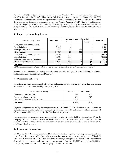(formerly "RED"), for \$30 million and the additional contribution of \$55 million paid during fiscal year 2014/2015 to settle the Group's obligations to Relativity. The total investment as of September 30, 2021, amounts to 78 million euros representing the equivalent of 85 million dollars. This investment has enabled the Group to conclude important contracts with Fox (Video), Amazon (SVOD / Pay TV) and Lionsgate (Video) during the previous years. This intangible asset, representing an entry fee, has an indefinite life and is, by definition, non-depreciable and is tested annually. This intangible asset has been fully impaired since March 31, 2019.

## **3.3 Property, plant and equipment**

|                                     |            | Movements during the period |      |                          |            |
|-------------------------------------|------------|-----------------------------|------|--------------------------|------------|
| (in thousands of euros)             | 31.03.2021 |                             |      | Other $^{(1)}$           | 30.09.2021 |
| Plant, machinery and equipment      | 7 3 2 6    |                             |      | $\overline{\phantom{0}}$ | 7 3 2 6    |
| Land, buildings                     | 5427       |                             |      | -                        | 5431       |
| Other property, plant and equipment | 1 874      |                             | (50) | -                        | 1841       |
| <b>Gross amount</b>                 | 14 627     | 21                          | (50) |                          | 14 5 98    |
| Plant, machinery and equipment      | (6867)     | (77)                        |      | -                        | (6945)     |
| Land, buildings                     | (2644)     | (111)                       |      | -                        | (2755)     |
| Other property, plant and equipment | (1671)     | (12)                        | 50   | (3)                      | (1636)     |
| <b>Depreciation/Provisions</b>      | (11182)    | (200)                       | 50   | (3)                      | (11335)    |
| <b>Net amount</b>                   | 3 4 4 5    | (179)                       |      | (3)                      | 3 2 6 3    |

*(1) Changes in the scope of consolidation, transfers from one item to another, foreign exchange impact*

Property, plant and equipment mainly comprise the assets held by Digital Factory (buildings, installations and technical equipment at the Saint-Denis site).

## **3.4 Other financial assets**

Other financial assets consist mainly of deposits and guarantees with a maturity of more than one year and non-consolidated securities (held by EuropaCorp SA).

| (in thousands of euros)                | 30.09.2021 | 31.03.2021 |
|----------------------------------------|------------|------------|
| Non-consolidated securities            | 500        | 500        |
| Loans and other receivables            | 610        | 610        |
| Deposits and guarantees due $> 1$ year | 7879       | 7 7 9 3    |
| Net amount                             | 8989       | 8 9 0 3    |

Deposits and guarantees mainly include guarantees paid to the Guilds for 4.8 million euros as well as the guarantee deposit paid to the lessor by EuropaCorp for an amount of 3.1 million euros within the framework of the commercial lease agreement for the Cité du Cinéma premises.

Non-consolidated investments correspond mainly to a minority stake held by EuropaCorp SA in the company ELZEVIR FILMS. These investments are recorded at their net value, which corresponds to the acquisition value of these shares less any depreciation calculated on the basis of the valuation of the subsidiary's film inventory.

## **3.5 Investments in associates**

*Les Studios de Paris* closes its accounts on December 31. For the purposes of closing the annual and halfyearly financial statements of the EuropaCorp group, the company has prepared a situation as of March 31, 2021, and September 30, 2021. Thus, the share of earnings recognized in EuropaCorp's consolidated financial statements corresponds to the company's operations from April 1, 2021 to September 30, 2021. EuropaCorp holds a 40% stake in this company and does not control it.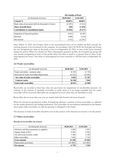|                                                       | <b>The Studios of Paris</b> |            |
|-------------------------------------------------------|-----------------------------|------------|
| (in thousands of euros)                               | 30.09.2021                  | 31.03.2021 |
| Control %                                             | 40,00%                      | 40,00%     |
| Book value of net assets held (in thousands of euros) | (3397)                      | (3331)     |
| Share of profit (loss)                                | (69)                        | (1 019)    |
| Contribution to consolidated equity                   | (9443)                      | $(9\,377)$ |
| Statement of financial position                       | 9653                        | 10 287     |
| Revenue                                               | 3 0 8 0                     | 3 0 1 4    |
| Net income                                            | (173)                       | (2 547)    |

Since March 31, 2021, the Group's share in the accumulated losses of Les Studios de Paris exceeds the carrying amount of its investment in the company. In accordance with IAS 28.38, the EuropaCorp Group has not recognized any share of the profit or loss as at September 30, 2021, in view of the losses incurred during the period. When Les Studios de Paris subsequently generates profits, the EuropaCorp group will only resume recognizing its share of the profits when this share is equal to or greater than its share of the unrecognized net losses. This share of unrecognized net losses amounts to 509,643 euros at September 30, 2021.

## **3.6 Trade receivables**

| (in thousands of euros)                      | 30.09.2021 | 31.03.2021 |
|----------------------------------------------|------------|------------|
| Trade receivables - nominal value            | 16 393     | 21 703     |
| Provision for trade receivables depreciation | (6552)     | (6596)     |
| Net value of trade receivables               | 9842       | 15 107     |
| <b>Contract assets</b>                       | 10 190     | 7842       |
| <b>Total trade receivables</b>               | 20 031     | 22 949     |

Receivables are recorded at their face value less provisions for impairment of uncollectible amounts. An estimate of the amount of doubtful receivables is made when it is no longer probable that the entire receivable will be recovered. Bad debts are recognized as losses when they are identified as such.

Receivables due in more than one year are mainly held with French television channels.

When the Group has production credits, EuropaCorp allocates a portion of these receivables as collateral for the credits granted by the lending institutions. The receivables are nevertheless maintained in the balance sheet under trade receivables, as only the payment is delegated to the banks.

The decrease in trade receivables should be seen in the context of the decrease in revenues over the period.

#### **3.7 Other receivables**

#### **Details of receivables by nature:**

| (in thousands of euros)                 | 30.09.2021 | 31.03.2021 |
|-----------------------------------------|------------|------------|
| Advances and down-payments to suppliers | 2620       | 2425       |
| Support funds (CNC)                     | 9585       | 9585       |
| Tax and social security credits         | 3 3 6 8    | 4 1 9 9    |
| Other receivables                       | 7665       | 7735       |
| <b>Gross amount</b>                     | 23 238     | 23 944     |
| Depreciation provisions                 | (16 460)   | (16385)    |
| Net amount                              | 6 7 7 8    | 7558       |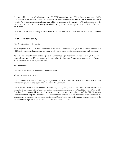The receivable from the CNC at September 30, 2021 breaks down into  $\epsilon$ 7.1 million of producer subsidy, €1.6 million of distributor subsidy, €0.5 million of video publisher subsidy and €0.4 million of export subsidy. As of September 30, 2021, this receivable was impaired to the extent of €9.1 million in view of the change of nationality of the majority shareholder on July 28, 2020 (impairment recorded in fiscal year 2019/2020).

Other receivables consist mainly of receivables from co-producers. All these receivables are due within one year.

## **3.8 Shareholders' equity**

#### 3.8.1 Composition of the capital

As of September 30, 2021, the Company's share capital amounted to 41,514,758.54 euros, divided into 122,102,231 ordinary shares with a par value of 0.34 euros each, all of the same class and fully paid up.

As of the date of publication of this report, the Company's capital stock was increased to 41,862,290.22 euros, divided into 123,124,383 shares with a par value of thirty-four (34) cents each (see Activity Report, *6.1. Capital increases linked to free share issues).*

#### 3.8.2 Dividends

The Group did not pay a dividend during the period.

#### 3.8.3 Allocation of free shares

The Combined Shareholders' Meeting of September 28, 2020, authorized the Board of Directors to make bonus share grants to employees and officers of the Company.

The Board of Directors has decided to proceed on July 15, 2021, with the allocation of free performance shares to all employees of the Company and its French subsidiaries and to its Chief Executive Officer. The Board of Directors considered that this was to align the interests of employees and the Chief Executive Officer with the Company's performance. The definitive allocation of these free shares is conditional on the beneficiaries' presence in the Company as of March 31, 2024, and on a performance criterion relating to the achievement of a profit target (95%) and a non-financial target (5%).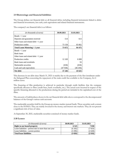## **3.9 Borrowings and financial liabilities**

The Group defines net financial debt as all financial debts, including financial instruments linked to debts and financial investments, less cash, cash equivalents and related financial instruments.

The company's net financial debt is as follows

| (in thousands of euros)                 | 30.09.2021 | 31.03.2021 |
|-----------------------------------------|------------|------------|
| Bonds $> 1$ year                        |            |            |
| Deposits and guarantees received        | 514        | 613        |
| Other loans and related debt $> 1$ year |            |            |
| Production credits                      | 73 158     | 83 862     |
| Total Loans Maturing > 1 year           | 73 672     | 84 475     |
| Bonds $<$ 1 year                        |            |            |
| Bank loans                              |            |            |
| Other loans and related debt $< 1$ year |            |            |
| Production credits                      | 12 169     | 6 0 0 8    |
| Bank loans and overdrafts               |            | 93         |
| Marketable securities                   | (658)      | (658)      |
| Cash and cash equivalents               | (47 938)   | (46 294)   |
| Net debt                                | 37 246     | 43 625     |

This decrease in net debt since March 31, 2021 is mainly due to the payment of the first instalment under the Safeguard Plan concerning the repayment of the main credit line available to the Company, for 6 million euros.

The financing of film production is achieved in particular through credit facilities that the company specifically allocates to films (credit lines, bank overdrafts, etc.). The actual costs incurred in respect of the specific financing allocated to the productions during the period are included in the capitalized cost of the films.

The amounts of indebtedness shown in the net financial debt table above correspond to the decompensated balances of the Group's various cash accounts.

The marketable securities held by the Group are money-market mutual funds. These securities seek a return close to the EONIA. They are mainly invested in the money and interest rate markets. They do not present a significant risk of loss of value.

At September 30, 2021, marketable securities consisted of money market funds.

#### **3.10 Leases**

| (in thousands of euros)                               | 30.09.2021 | 31.03.2021 |
|-------------------------------------------------------|------------|------------|
| <b>Right to use leased property</b>                   | 6 5 2 5    | 7830       |
| Lease liabilities - portion due in more than one year | (6345)     | (7819)     |
| Lease liabilities - current portion                   | (3 206)    | (2628)     |
| <b>Total lease liabilities</b>                        | (3026)     | (2616)     |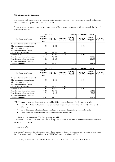## **3.11 Financial instruments**

The Group's cash requirements are covered by its operating cash flow, supplemented by overdraft facilities, sales contracts and specialized production credits.

The table below provides a comparison by category of the carrying amounts and fair values of all the Group's financial instruments:

|                                      | 30.09.2021                                          |                   | <b>Breakdown by instrument category</b> |                                  |                                 |                               |                                  |
|--------------------------------------|-----------------------------------------------------|-------------------|-----------------------------------------|----------------------------------|---------------------------------|-------------------------------|----------------------------------|
| (in thousands of euros)              | Net book<br>value in the<br><b>balance</b><br>sheet | <b>Fair value</b> | <b>Fair value</b><br>by income          | Available-<br>for-sale<br>assets | <b>Loans</b> and<br>receivables | Debts at<br>amortized<br>cost | <b>Derivative</b><br>instruments |
| Non-consolidated equity investments  |                                                     |                   |                                         |                                  |                                 |                               |                                  |
| Other non-current financial assets   | 8989                                                | 8989              |                                         |                                  | 8989                            |                               |                                  |
| Other current financial assets       |                                                     |                   |                                         |                                  |                                 |                               |                                  |
| Derivative instruments - assets      |                                                     |                   |                                         |                                  |                                 |                               |                                  |
| Cash and cash equivalents            | 48 5 95                                             | 48 5 95           | 48 5 95                                 |                                  |                                 |                               |                                  |
| <b>Financial assets</b>              | 57 584                                              | 57 584            | 48 595                                  |                                  | 8989                            |                               |                                  |
| Financial debts of more than 1 year  | 73 158                                              | 73 158            |                                         |                                  |                                 | 73 158                        |                                  |
| Financial debts of less than 1 year  | 12 683                                              | 12 683            |                                         |                                  |                                 | 12 683                        |                                  |
| Derivative instruments - liabilities |                                                     |                   |                                         |                                  |                                 |                               |                                  |
| <b>Financial liabilities</b>         | 85 842                                              | 85 842            | $\blacksquare$                          | ۰.                               | ۰.                              | 85 842                        |                                  |

|                                      | 31.03.2021                                          |                   | <b>Breakdown by instrument category</b> |                                  |                                 |                               |                                  |
|--------------------------------------|-----------------------------------------------------|-------------------|-----------------------------------------|----------------------------------|---------------------------------|-------------------------------|----------------------------------|
| ( <i>in thousands of euros</i> )     | Net book<br>value in the<br><b>balance</b><br>sheet | <b>Fair value</b> | <b>Fair value</b><br>by income          | Available-<br>for-sale<br>assets | <b>Loans</b> and<br>receivables | Debts at<br>amortized<br>cost | <b>Derivative</b><br>instruments |
| Non-consolidated equity investments  |                                                     |                   |                                         |                                  |                                 |                               |                                  |
| Other non-current financial assets   | 8 9 6 1                                             | 8961              |                                         |                                  | 8961                            |                               |                                  |
| Other current financial assets       |                                                     |                   |                                         |                                  |                                 |                               |                                  |
| Derivative instruments - assets      |                                                     |                   |                                         |                                  |                                 |                               |                                  |
| Cash and cash equivalents            | 46 952                                              | 46 9 52           | 46 952                                  |                                  |                                 |                               |                                  |
| <b>Financial assets</b>              | 55 912                                              | 55 9 12           | 46 952                                  |                                  | 8961                            |                               |                                  |
| Financial debts of more than 1 year  | 83 862                                              | 83 862            |                                         |                                  |                                 | 83 862                        |                                  |
| Financial debts of less than 1 year  | 6.715                                               | 6 7 1 5           |                                         |                                  |                                 | 6 7 1 5                       |                                  |
| Derivative instruments - liabilities |                                                     |                   |                                         |                                  |                                 |                               |                                  |
| <b>Financial liabilities</b>         | 90 577                                              | 90 577            | ۰.                                      |                                  |                                 | 90 577                        |                                  |

IFRS 7 requires the classification of assets and liabilities measured at fair value into three levels:

- Level 1 includes valuations based on quoted prices in an active market for identical assets or liabilities;
- Level 2 includes valuations based on observable market data, not included in Level 1;
- Level 3 includes valuations based on unobservable market data.

The financial instruments used by EuropaCorp are all level 1.

In the normal course of business, the Group is exposed to interest rate and currency risks that may have an impact on its net worth.

• *Interest rate risk:*

The Group's exposure to interest rate risk relates mainly to the portion drawn down on revolving credit lines. The main credit line bears interest at EURIBOR plus a margin of 3.25%.

The maturity schedule of financial assets and liabilities as at September 30, 2021 is as follows: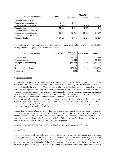|                                   | 30.09.2021 |            | <b>Maturities</b> |             |
|-----------------------------------|------------|------------|-------------------|-------------|
| (in thousands of euros)           |            | $<$ 1 year | 1-5 years         | $>$ 5 years |
| Fixed rate financial assets       |            |            |                   |             |
| Variable rate financial assets    | 48 595     | 48 5 95    |                   |             |
| Financial assets not exposed      | 8989       |            | 8 3 7 9           | 610         |
| <b>Financial assets</b>           | 57 584     | 48 595     | 8 3 7 9           | 610         |
| Fixed rate financial liabilities  |            |            |                   |             |
| Floating-rate financial assets    | 85 842     | 12 7 25    | 38 510            | 34 607      |
| Financial liabilities not exposed |            |            |                   |             |
| <b>Financial liabilities</b>      | 85 842     | 12725      | 38 510            | 34 607      |

The monitoring of interest rate risk and sensitivity can be summarized as follows as of September 30, 2021 (assumption used: 0.5-point increase in interest rates):

| (in thousands of euros)      | <b>Fixed rate</b> | <b>Variable</b><br>rate | Not exposed | <b>Total</b> |
|------------------------------|-------------------|-------------------------|-------------|--------------|
| Financial assets             |                   | 48 5 95                 | 8989        | 57 584       |
| <b>Financial liabilities</b> |                   | 85 842                  |             | 85 842       |
| Net equity before hedging    |                   | (37246)                 | 8989        | (28 258)     |
| "Hedging"                    |                   |                         |             |              |
| Net equity after hedging     |                   | (37246)                 | 8989        | (28 258)     |
| <b>Sensitivity</b>           |                   | (186)                   |             | (186)        |

#### • *Foreign exchange risk:*

The Group is exposed to financial statement translation risk for subsidiaries whose accounts are denominated in foreign currencies, and to transactional risk of exchange rate fluctuations for revenues generated outside the euro zone. This risk also applies to production costs denominated in foreign currencies relating to the portion of certain films shot outside the euro zone. When a significant portion of revenues generated in international markets is denominated in foreign currencies, significant production costs may be denominated in the same currencies. Thus, the Group may benefit from a natural hedge, depending on the respective importance of these flows in the opposite direction.

The Group may also use various financial instruments to hedge foreign exchange risks on cash flows, particularly with regard to fluctuations in the US dollar against the euro. For example, when the company is committed to paying significant expenses in foreign currencies, it may sign forward exchange contracts or currency options with financial institutions.

In accordance with IAS 39, as the Group has chosen not to apply hedge accounting, changes in the fair value of forward purchases and sales in foreign currencies carried out by EuropaCorp are recognized in financial income or loss. The fair value of these instruments, recorded as assets or liabilities in the consolidated balance sheet under "Other receivables" or "Other payables", is determined on the basis of their market value valued according to the closing exchange rates.

As at September 30, 2021, the Company has no hedging instruments measured at fair value.

## • *Liquidity risk:*

The liquidity risk to which EuropaCorp is subject is inherent to the business of producing and distributing cinematographic works. In fact, several months generally separate the investments required for the production and promotion of a film from the receipt of operating revenues. This time lag can make it necessary to resort to bank financing. Although EuropaCorp endeavors to limit its financial exposure as far upstream as possible through a policy of pre-selling international distribution rights and television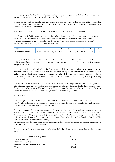broadcasting rights for the films it produces, EuropaCorp cannot guarantee that it will always be able to implement such a policy, nor that it will be exempt from all liquidity risk.

In order to cope with the time lag between investments and the receipt of film revenues, EuropaCorp had a Senior reusable line of credit enabling it to mobilize receivables linked to contracts for a maximum total amount equivalent to \$190 million.

As of March 31, 2020, 85.6 million euros had been drawn down on the main credit line.

This Senior credit facility was to be repaid at the end of a five-year period, i.e. by October 21, 2019 at the latest. Under the Safeguard Plan, approved on July 24, 2020 by the Bobigny Commercial Court, and extended from seven to nine years following the Covid-19 epidemic and its impact on the Group's productions, the following payment schedule has been defined:

| Year                  |      |       |       |           |                       |       |                          |       |       |
|-----------------------|------|-------|-------|-----------|-----------------------|-------|--------------------------|-------|-------|
| reimbursement  <br>Ω1 | 5,8% | 11.8% | 10,6% | 7%<br>0.7 | $1 \cap$<br>4%<br>. . | 12,4% | $\sim$<br>$1\%$<br>1/4.1 | 14,6% | 13,6% |

On July 30, 2020, EuropaCorp Pictures LLC as Borrower, EuropaCorp Finance LLC as Parent, the Lenders and Comerica Bank, acting as Agent, entered into a credit agreement entitled Credit, Security, Guaranty and Pledge Agreement.

This new reusable line of credit allows the Company to mobilize receivables related to sales contracts for a maximum amount of \$100 million, which can be increased by mutual agreement by an additional \$25 million. Most of this financing is provided directly or indirectly by a new generation of Vine funds (Funds IV) separate from the current shareholder Vine Funds. The balance of the financing may be provided by some of the Vine Funds.

The purpose of this financing is to pay the costs associated with the production, the financing fees and interest and, if necessary, the working capital requirement. This new financing facility has a term of 5 years from the date of signature and bears interest at 8% per annum (for more details, see the chapter "Material Contracts" of the 2020/2021 Universal Registration Document, pages 169 to 171).

#### • *Credit risk:*

The most significant receivables concern the International Sales and TV Sales France activities. For TV sales in France, the credit risk is considered low given the size of the broadcasters and the history and quality of the relationships maintained with them.

As far as international sales are concerned, the EuropaCorp Group's policy consists of choosing reference partners in each country where its films are distributed, with whom it has worked on several occasions in the past, while seeking to diversify its potential partners, in particular through regular contacts with the various foreign players at film markets such as Cannes (Marché du Film), Los Angeles (American Film Market), or Berlin (European Film Market).

Given the fact that the credit risk is considered low, the EuropaCorp Group has not deemed it appropriate, at this time, to take out credit insurance.

The table below shows the total amount of credit risk, broken down by major asset class as of September 30, 2021:

| (in thousands of euros)                  | 30.09.2021 |
|------------------------------------------|------------|
| Trade receivables                        | 20 031     |
| <b>Marketable securities</b>             |            |
| Other receivables exposed to credit risk |            |
| Total                                    |            |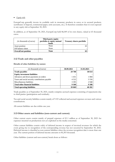# • *Equity risk:*

EuropaCorp generally invests its available cash in monetary products in euros or in secured products (certificates of deposit, commercial paper, term accounts, etc.). It therefore considers that it is not exposed to any equity risk at September 30, 2021.

In addition, as of September 30, 2021, EuropaCorp held 86,049 of its own shares, valued at 65 thousand euros.

| ( <i>in thousands of euros</i> ) | Third-party equity<br>portfolio or equity mutual<br>funds | <b>Treasury shares portfolio</b> |
|----------------------------------|-----------------------------------------------------------|----------------------------------|
| Asset position                   | None                                                      |                                  |
| Off balance sheet                | None                                                      |                                  |
| <b>Overall net position</b>      | <b>None</b>                                               |                                  |

## **3.12 Trade and other payables**

#### **Details of other liabilities by nature:**

| (in thousands of euros)                         | 30.09.2021 | 31.03.2021 |
|-------------------------------------------------|------------|------------|
| Trade payables                                  | 29 700     | 30 614     |
| <b>Equity investment liabilities</b>            |            |            |
| Advances and down-payments on orders            | 1451       | 1 0 8 4    |
| Taxes and social security contributions payable | 4 5 22     | 5 5 5 6    |
| Miscellaneous liabilities                       | 3 3 9 5    | 2948       |
| <b>Total other financial liabilities</b>        | 9 3 6 8    | 9588       |
| Total operating liabilities                     | 39 069     | 40 202     |

Trade payables as of September 30, 2021, mainly comprise accrued expenses consisting of repayments due to third parties (participation and residuals).

Tax and social security liabilities consist mainly of VAT collected and accrued expenses on taxes and various contributions.

All current liabilities are due within one year.

## **3.13 Other assets and liabilities (non-current and current)**

Other current assets consist mainly of prepaid expenses of €1.1 million as of September 30, 2021 for expenses incurred on productions not yet exploited on the media concerned.

Other current liabilities consist solely of deferred income in respect of invoiced revenues for which the event giving rise to recognition of the corresponding revenue has not occurred by September 30, 2021. Deferred income is classified as non-current liabilities when the revenue recognition date is more than one year. The current portion of deferred income amounts to €6,303 thousand.

Other liabilities (current and non-current) break down as follows: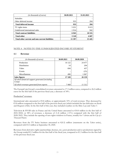| (in thousands of euros)                         | 30.09.2021 | 31.03.2021 |
|-------------------------------------------------|------------|------------|
| <b>Subsidies</b>                                |            |            |
| Other deferred income                           | 933        | 204        |
| <b>Total deferred income</b>                    | 933        | 204        |
| TV rights items                                 | 5 0 3 1    | 9613       |
| Undelivered international sales                 | 1914       | 942        |
| <b>Total contract liabilities</b>               | 6945       | 10 555     |
| <b>Total other</b>                              | 3 5 20     | 4687       |
| Total other current and non-current liabilities | 11 397     | 15 4 45    |

## NOTE 4 - NOTES TO THE CONSOLIDATED INCOME STATEMENT

#### **4.1 Revenue**

| (in thousands of euros)                         | 30.09.2021      | 30.09.2020 |
|-------------------------------------------------|-----------------|------------|
| Production                                      | 16 122          | 24 477     |
| <b>Distribution</b>                             | 14              | 204        |
| Video                                           | 694             | 437        |
| Events                                          | $\qquad \qquad$ | (25)       |
| Miscellaneous                                   | 490             | 1 0 6 7    |
| Sales figures                                   | 17 320          | 26 159     |
| Of which financial support generated (including |                 |            |
| Cosip)                                          | -               |            |
| Of which revenues generated from exports        | 7468            | 11 312     |

The EuropaCorp Group's consolidated revenues amounted to 17.3 million euros, compared to 26.2 million euros for the first half of the previous fiscal year, a decrease of 34%.

#### Production" revenues:

International sales amounted to  $\epsilon$ 5.8 million, or approximately 33% of total revenues. They decreased by €3.8 million compared to the first half of the previous fiscal year (which included the last deliveries on *Kursk*  and *Braqueurs d'élite*). In the first half of this year, they included royalties on the films *Lucy* and *Taken 3*.

Television & SVOD sales in France and the United States amounted to  $\epsilon$ 10.0 million in the first half of 2021/2022, or 58% of revenues, a decrease of (1.2) million (-11%) compared with the first half of 2020/2021. They include the opening of new rights windows in France, notably for *Valerian and the City of a Thousand Planets.*

Revenues from the TV Series business amounted to €(0.3) million (statements on the *Taken* series), compared with €3.3 million at September 30, 2020.

Revenues from derivative rights (partnerships, licenses, etc.), post-production and co-productions signed by the Group totaled  $\epsilon$ 1.2 million for the first half of the fiscal year, compared to  $\epsilon$ 1.3 million for the first half of the previous fiscal year.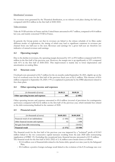#### Distribution" revenues:

No revenues were generated by the Theatrical distribution, as no releases took place during the half-year, compared with €0.2 million in the first half of 2020/2021.

#### Video revenues:

Video & VOD activities in France and the United States amounted to  $\epsilon$ 0.7 million, compared to  $\epsilon$ 0.4 million last year, and mainly concerned VOD in France.

In general, the Group points out that its revenues are linked to the release schedule of its films under different modes of exploitation, the timing of which may lead to significant variations in revenues per channel from one half-year to the next. Revenues and earnings for a given half-year are therefore not indicative of annual revenues and earnings.

## **4.2 Operating margin**

Due to the decline in revenues, the operating margin decreased by 16% to  $\epsilon$ 9.0 million compared with  $\epsilon$ 10.6 million in the first half of the previous year. However, the margin rate is up significantly to 52% compared with 41% in the first half of 2020/2021. This improvement is mainly due to lower depreciation and amortization on catalog films.

## **4.3 Structure costs**

Overhead costs amounted to  $\epsilon$ (6.7) million for the six months ended September 30, 2021, slightly up on the level of overhead costs for the first half of the previous fiscal year at  $\epsilon$ (6.1) million. This increase of  $\epsilon$ 0.6 million compared to September 30, 2020 (+9%) is explained in particular by the IFRS adjustment related to free share plans.

## **4.4 Other operating income and expenses**

| (in thousands of euros)             | 30.09.21 | 30.09.20 |
|-------------------------------------|----------|----------|
| Other operating income and expenses | 400      | (2, 409) |

Other operating income and expenses amounted to  $\epsilon_{0.4}$  million (reversal of provisions for contingencies and losses) compared with  $E(2.4)$  million in the first half of the previous year, which included fees related to the debt restructuring finalized in the summer of 2020.

#### **4.5 Financial result**

| (in thousands of euros)              | 30.09.2021 | 30.09.2020 |
|--------------------------------------|------------|------------|
| Financial result of net indebtedness | (1436)     | (3020)     |
| Other financial income and expenses  | 61         | 1 099      |
| Net gain from debt restructuring     |            | 134 921    |
| <b>Financial result</b>              | (1375)     | 133 000    |

The financial result for the first half of the previous year was impacted by a "technical" profit of €134.9 million linked to the two consecutive capital increases resulting from the July 2020 debt restructuring (application of IFRIC 19). Excluding this exceptional item, financial income amounted to  $\epsilon$ (1.9) million. The financial result for the first half of 2021/2022 of (1.4) million euros breaks down as follows:

- $\epsilon$ (1.4) million: cost of financial debt related to the Senior debt, spread over nine years by the Safeguard Plan;
- $\epsilon$  = €0.4 million: a positive foreign exchange result linked to the evolution of the  $\epsilon$ /\$ exchange rate over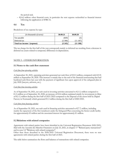the period and;

 $\varepsilon$ (0.4) million: other financial costs, in particular the rent expense reclassified as financial interest following the application of IFRS 16.

## **4.6 Tax**

Breakdown of tax expense by type:

| (in thousands of euros)      | 30.09.21 | 30.09.20 |
|------------------------------|----------|----------|
| Tax payable                  | (849)    | ر -      |
| Deferred tax                 | (2, 396) | 11 187   |
| Total tax income / (expense) | (3 245)  | (11 190  |

The tax charge for the first half of the year corresponds mainly to deferred tax resulting from a decrease in deferred tax assets related to temporary differences in depreciation.

## NOTE 5 - OTHER INFORMATION

#### **5.1 Notes to the cash flow statement**

#### *Cash flow from operating activities*

At September 30, 2021, operating activities generated net cash flow of €10.5 million, compared with  $\epsilon$ (3.9) million at September 30, 2020. This increase is mainly due to the end of the financial restructuring that had burdened cash flows last year with the payment of significant fees upon approval of the safeguard plan in July 2020 (lawyers, advisors, etc.).

#### *Cash flow from investing activities*

As of September 30, 2021, net cash used in investing activities amounted to  $\epsilon$ (1.1) million compared to €1.5 million as of September 30, 2020, an increase of €2.6 million explained mainly by investments in films of €(1.1) million during the first half of 2021/2022 compared to the disposal of the assets held by Digital Factory in Normandy which generated  $\epsilon$ 1.5 million during the first half of 2020/2021.

#### *Cash flows from financing activities*

As of September 30, 2021, net cash used in financing activities amounted to  $\mathcal{E}(7.7)$  million, including mainly the repayment of the first instalment under the Safeguard Plan concerning the Senior credit facility for approximately  $\epsilon$ 5 million and the associated interest for approximately  $\epsilon$ 1 million.

### **5.2 Relations with related companies**

Agreements with related parties have been identified in the Universal Registration Document 2020/2021, filed with the Autorité des Marchés Financiers on July 23, 2021, in chapter 17 "Related party transactions" and in note 5.2 "Relations with related companies".

Other than those described in the 2020/2021 Universal Registration Document, there were no new agreements with related parties during the first half of 2021.

The table below summarizes the flows and balances of transactions with related companies: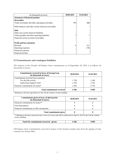| (in thousands of euros)                                | 30.09.2021 | 31.03.2021 |
|--------------------------------------------------------|------------|------------|
| <b>Statement of financial position</b>                 |            |            |
| Receivables                                            |            |            |
| Trade receivables and other operating receivables      | 799        | 888        |
| Debit balances and other current financial receivables |            |            |
| <b>Debt</b>                                            |            |            |
| Other non-current financial liabilities                |            |            |
| Trade payables and other operating liabilities         | 7          |            |
| Financial current accounts receivables                 |            |            |
|                                                        |            |            |
| <b>Profit and loss statement</b>                       |            |            |
| Revenue                                                | 6          | 311        |
| Operating expenses                                     |            | (78)       |
| Financial expenses                                     |            |            |
| Financial income                                       |            |            |

# **5.3 Commitments and contingent liabilities**

The analysis of the Group's off-balance sheet commitments as of September 30, 2021 is as follows (in thousands of euros):

| <b>Commitments received in favor of EuropaCorp</b><br>(in thousands of euros) | 30.09.2021 | 31.03.2021 |  |
|-------------------------------------------------------------------------------|------------|------------|--|
| Commitments received from customers                                           |            |            |  |
| For the film activity                                                         | 1 7 5 8    | 2 2 4 0    |  |
| <b>Audiovisual Support Fund</b>                                               | 2 105      | 2 105      |  |
| Financial commitments for leases*                                             | 2.502      | 4 7 5 4    |  |
| <b>Total commitments received</b>                                             | 6366       | 9 0 9 9    |  |

*\* Relating to sub-lease agreements on the Cité du Cinéma's tertiary building.*

| Commitments given in favor of third parties<br>(in thousands of euros) | 30.09.2021 | 31.03.2021 |
|------------------------------------------------------------------------|------------|------------|
| Financial commitments for leases**                                     |            |            |
| Vine Participation                                                     |            |            |
| Financial commitments on film investments                              |            |            |
| <b>Total commitments given</b>                                         |            |            |

*\*\* Relating to the lease entered into for a term of 12 years and which commenced on April 6, 2012 on the Cité du Cinéma tertiary building.*

| Total Net commitments (received - given) | -366 | 099 |
|------------------------------------------|------|-----|
|                                          |      |     |

Off-balance sheet commitments received in respect of the business mainly arise from the signing of sales contracts for feature films.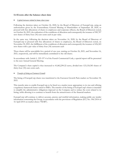## **5.4 Events after the balance sheet date**

#### • *Capital increases related to bonus share issues*

Following the decision taken on October 26, 2020, by the Board of Directors of EuropaCorp, using an authorization given by the Extraordinary General Meeting of Shareholders of September 28, 2020, to proceed with free allocations of shares to employees and corporate officers, the Board of Directors noted, on October 26, 2021, the realization of the conditions of allocation and consequently the issuance of 585,787 new shares of thirty-four (34) euro cents each in par value.

In the same way, following the decision taken on November 16, 2020, by the Board of Directors of EuropaCorp to proceed with free allocations of shares to employees, the Board of Directors noted, on November 30, 2021, the fulfillment of the conditions of allocation and consequently the issuance of 436,365 new shares with a par value of thirty-four (34) eurocents each

These shares will be unavailable for a period of one year, starting on October 26, 2021, and November 16, 2021, respectively, and will be immediately assimilated to the old shares.

In accordance with Article L. 225-197-4 of the French Commercial Code, a special report will be presented to the next Annual General Meeting.

The Company's share capital is thus increased to 41,862,290.22 euros, divided into 123,124,383 shares of thirty-four (34) euro cents each.

#### • *Transfer of listing on Euronext Growth*

The listing of EuropaCorp shares was transferred to the Euronext Growth Paris market on November 18, 2021.

This transfer aims to enable EuropaCorp to be listed on a market more appropriate to its size and offering a regulatory framework better suited to SMEs. The transfer of the listing of EuropaCorp's shares is intended to simplify the administrative obligations imposed on the Company and to reduce the costs related to its listing, while allowing it to continue to benefit from the attractiveness of the financial markets.

EuropaCorp will continue to deliver accurate, precise and truthful information, making public any insider information concerning the Group, in accordance with the provisions of Regulation (EU) No. 596/2014 of 16 April 2014 on market abuse ("MAR").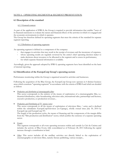## NOTE 6 - OPERATING SEGMENTS & SEGMENT PRESENTATION

### **6.1 Description of the standard**

#### 6.1.1 General context

As part of the application of IFRS 8, the Group is required to provide information that enables "users of its financial statements to evaluate the nature and financial effects of the activities in which it is engaged and the economic environments in which it operates.

The Group has therefore defined its operating segments that meet the criteria of the standard for separate segment reporting.

#### 6.1.2 Definition of operating segments

An operating segment is defined as a component of the company:

- that engages in activities that may result in the receipt of revenues and the incurrence of expenses,
- whose operating results are regularly reviewed by the entity's chief operating decision maker to make decisions about resources to be allocated to the segment and to assess its performance,
- for which separate financial information is available.

Accordingly, given the approach adopted by IFRS 8, operating segments have been identified on the basis of internal reporting.

## **6.2 Identification of the EuropaCorp Group's operating sectors**

Performance monitoring within the Group is organized around its activities and businesses.

Following the acquisition of the Blue Group, the EuropaCorp Group now operates in 4 distinct business areas which constitute "operating segments" in accordance with the criteria of IFRS 8 and which are detailed as follows

• *Production and distribution of cinematographic films*:

This sector corresponds to the entirety of the means of exploitation of a cinematographic film, i.e.: theatrical distribution, video broadcasting, television sales, international sales, partnerships and licenses, executive production, co-production revenues...

• *Production and Distribution of TV movies/series*:

This sector corresponds to all the means of exploitation of television films / series and is declined within the subsidiaries EuropaCorpTelevision (ex-Cipango), wholly owned since July 30, 2014 by EuropaCorp and EuropaCorp TV.

The length of the production cycles, the means of financing and the components of the margin differ from the "film production and distribution" sector, which justifies the existence of a separate operating sector.

• *Events* :

This segment corresponds to all event operating resources within and outside La Cité du Cinéma and includes the activity of Blue Event, fully consolidated as of February 28, 2013 following the capital increase through a contribution in kind.

• *Other*: This sector includes all the ancillary activities not directly linked to the exploitation of cinematographic or television films, namely: literary publishing, various receipts...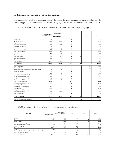# **6.3 Financial information by operating segment**

The methodology used to measure and present the figures for each operating segment complies with the accounting principles and methods described for the preparation of the consolidated financial statements.

#### 6.3.1 Presentation of the consolidated statement of financial position by operating segment

| 09.30.2021                                                 | <b>Production and</b><br><b>Distribution of films</b> | <b>Production and</b><br><b>Distribution of TV</b><br>films and series | <b>Events</b> | Other                    | Non allocated items | <b>Total</b> |
|------------------------------------------------------------|-------------------------------------------------------|------------------------------------------------------------------------|---------------|--------------------------|---------------------|--------------|
| Net goodwill                                               |                                                       |                                                                        |               |                          |                     |              |
| Net intangible assets                                      | 29414                                                 | 4 8 2 9                                                                |               |                          |                     | 34 243       |
| Property, Plant and Equipment (net)                        | 3 2 6 7                                               |                                                                        |               |                          |                     | 3 2 7 2      |
| Other financial assets (net)                               | 8628                                                  | 361                                                                    |               |                          |                     | 8989         |
| Investments in associates                                  | $\Omega$                                              |                                                                        |               |                          |                     |              |
| Deferred tax assets                                        | 75                                                    |                                                                        |               |                          |                     | 75           |
| Other non-current assets (net)                             | 6525                                                  |                                                                        |               |                          |                     | 6525         |
| Total non-current assets                                   | 47909                                                 | 5 1 9 0                                                                | 0             | $\overline{\phantom{0}}$ |                     | 53 104       |
| Inventory                                                  | 223                                                   |                                                                        |               |                          |                     | 223          |
| Net trade receivables                                      | 19 23 1                                               | 784                                                                    |               |                          |                     | 20 031       |
| Other net receivables                                      | 5 3 8 4                                               | 130                                                                    | 10            | 1 2 5 5                  |                     | 6778         |
| Other net current assets                                   | 2 2 1 2                                               |                                                                        |               |                          |                     | 2 2 1 2      |
| Cash and cash equivalent                                   | 36 185                                                | 12 24                                                                  | 123           |                          |                     | 48 595       |
| Total current assets                                       | 63 235                                                | 13 158                                                                 | 135           | 1312                     |                     | 77840        |
| <b>TOTAL ASSETS</b>                                        | 111 144                                               | 18 348                                                                 | 135           | 1317                     |                     | 130 943      |
|                                                            |                                                       |                                                                        |               |                          |                     |              |
| Equity - Group share                                       |                                                       |                                                                        |               |                          | (19063)             | (19063)      |
| Non-controlling interests                                  |                                                       |                                                                        |               |                          | 342                 | 342          |
| Provisions for pensions and other post-employment benefits | 435                                                   |                                                                        |               |                          |                     | 435          |
| Deferred tax liabilities                                   | 2735                                                  |                                                                        |               |                          |                     | 2735         |
| Bonds and financial liabilities > 1 year                   | 6345                                                  |                                                                        |               |                          |                     | 6 3 4 5      |
| Lease liability - long term $($ > 1 year)                  | 73 157                                                |                                                                        |               |                          |                     | 73 158       |
| Deposits and guarantees received                           | 514                                                   |                                                                        |               |                          |                     | 514          |
| Equity investment liabilities $> 1$ year                   |                                                       |                                                                        |               |                          |                     |              |
| Other non-current liabilities                              | 5016                                                  | 27                                                                     | 51            |                          |                     | 5 0 9 4      |
| Total non-current liabilities                              | 88 202                                                | 28                                                                     | 52            | $\boldsymbol{\theta}$    |                     | 88 281       |
| Bonds and financial liabilities < 1 year                   | 12 169                                                |                                                                        |               |                          |                     | 12 169       |
| Lease liability - short term $(< 1$ year)                  | 3 2 0 6                                               |                                                                        |               |                          |                     | 3 2 0 6      |
| Provisions for risks and expenses                          | 637                                                   |                                                                        |               |                          |                     | 637          |
| Trade payables                                             | 25 909                                                | 1578                                                                   | 56            | 2 1 5 8                  |                     | 29 700       |
| Equity investment liabilities < 1 year                     |                                                       |                                                                        |               |                          |                     |              |
| Other financial liabilities                                | 7118                                                  | 2 2 0 5                                                                |               |                          |                     | 9 3 6 8      |
| Other current liabilities                                  | 6303                                                  |                                                                        |               |                          |                     | 6 3 0 3      |
| Total current liabilities                                  | 55 342                                                | 3783                                                                   | 57            | 2 2 0 2                  |                     | 61383        |
| <b>TOTAL LIABILITIES</b>                                   | 143 543                                               | 3811                                                                   | 109           | 2 2 0 2                  |                     | 130 943      |
|                                                            |                                                       |                                                                        |               |                          |                     |              |
| Films and audiovisual rights investments                   | 1051                                                  |                                                                        |               |                          |                     | 1051         |

#### 6.3.2 Presentation of the consolidated income statement by operating segment

| 09.30.2021                                                          | Production and<br>Distribution of films | Production and<br>Distribution of TV films<br>and series | Events   | Other    | <b>Total</b> |
|---------------------------------------------------------------------|-----------------------------------------|----------------------------------------------------------|----------|----------|--------------|
| Revenue                                                             | 17092                                   | (315)                                                    |          | 544      | 17320        |
| Cost of sales                                                       | (8416)                                  | (20)                                                     | $\Omega$ | 87       | (8349)       |
| <b>Operating margin</b>                                             | 8675                                    | (335)                                                    | $\theta$ | 630      | 8971         |
| General and administrative expenses                                 | (6634)                                  | 15)                                                      | (3)      | (13)     | (6664)       |
| Other operating income and expenses                                 | 400                                     |                                                          |          |          | 400          |
| <b>Operating profit (loss)</b>                                      | 2441                                    | (349)                                                    | 3)       | 618      | 2707         |
| <b>Financial income</b>                                             | (1537)                                  | 162                                                      |          |          | (1375)       |
| Income tax                                                          | (3245)                                  |                                                          |          |          | (3245)       |
| Share in results of associates consolidated using the equity method |                                         |                                                          |          |          | $\Omega$     |
| Share of non-controlling interests                                  |                                         | (6)                                                      | (2)      | $\Omega$ | (8)          |
| Net income - Group share                                            | (2.341)                                 | (181)                                                    | (1)      | 618      | (1905)       |